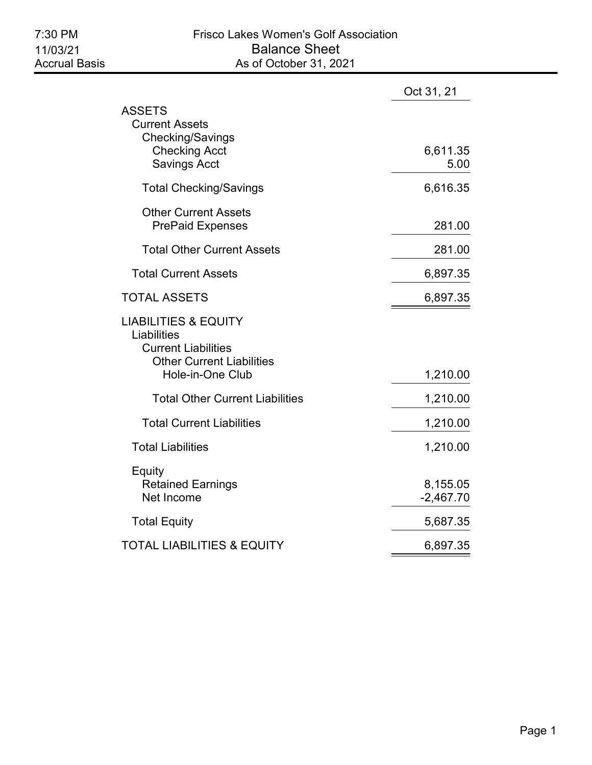|                                                                                                                                      | Oct 31, 21              |
|--------------------------------------------------------------------------------------------------------------------------------------|-------------------------|
| ASSETS<br><b>Current Assets</b><br><b>Checking/Savings</b><br><b>Checking Acct</b><br><b>Savings Acct</b>                            | 6,611.35<br>5.00        |
| <b>Total Checking/Savings</b>                                                                                                        | 6,616.35                |
| <b>Other Current Assets</b><br><b>PrePaid Expenses</b>                                                                               | 281.00                  |
| <b>Total Other Current Assets</b>                                                                                                    | 281.00                  |
| <b>Total Current Assets</b>                                                                                                          | 6,897.35                |
| <b>TOTAL ASSETS</b>                                                                                                                  | 6,897.35                |
| <b>LIABILITIES &amp; EQUITY</b><br>Liabilities<br><b>Current Liabilities</b><br><b>Other Current Liabilities</b><br>Hole-in-One Club | 1,210.00                |
| <b>Total Other Current Liabilities</b>                                                                                               | 1,210.00                |
| <b>Total Current Liabilities</b>                                                                                                     | 1,210.00                |
| <b>Total Liabilities</b>                                                                                                             | 1,210.00                |
| Equity<br><b>Retained Earnings</b><br>Net Income                                                                                     | 8,155.05<br>$-2,467.70$ |
| <b>Total Equity</b>                                                                                                                  | 5,687.35                |
| TOTAL LIABILITIES & EQUITY                                                                                                           | 6,897.35                |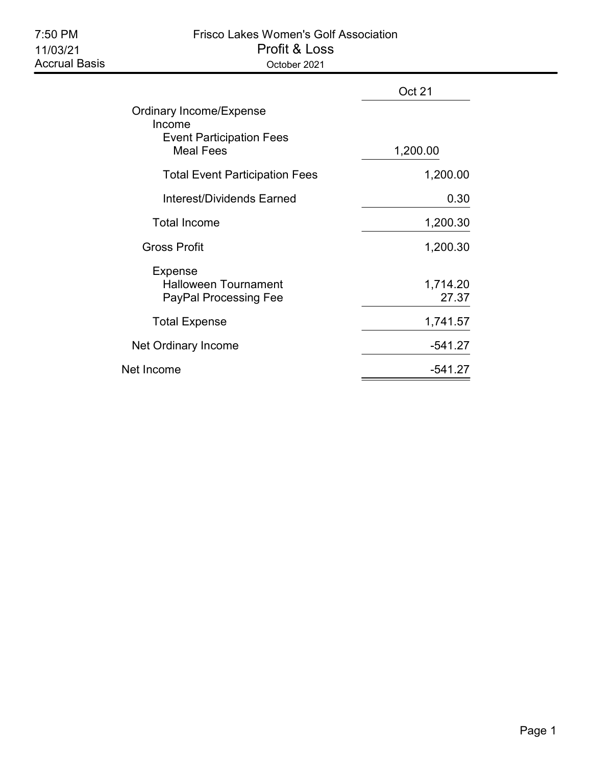## 7:50 PM Frisco Lakes Women's Golf Association 11/03/21 Profit & Loss Accrual Basis **Calcrum** Corollary Corollary October 2021

|                                                                                          | Oct 21            |
|------------------------------------------------------------------------------------------|-------------------|
| Ordinary Income/Expense<br>Income<br><b>Event Participation Fees</b><br><b>Meal Fees</b> | 1,200.00          |
| <b>Total Event Participation Fees</b>                                                    | 1,200.00          |
| Interest/Dividends Earned                                                                | 0.30              |
| <b>Total Income</b>                                                                      | 1,200.30          |
| <b>Gross Profit</b>                                                                      | 1,200.30          |
| <b>Expense</b><br><b>Halloween Tournament</b><br><b>PayPal Processing Fee</b>            | 1,714.20<br>27.37 |
| <b>Total Expense</b>                                                                     | 1,741.57          |
| Net Ordinary Income                                                                      | $-541.27$         |
| Net Income                                                                               | $-541.27$         |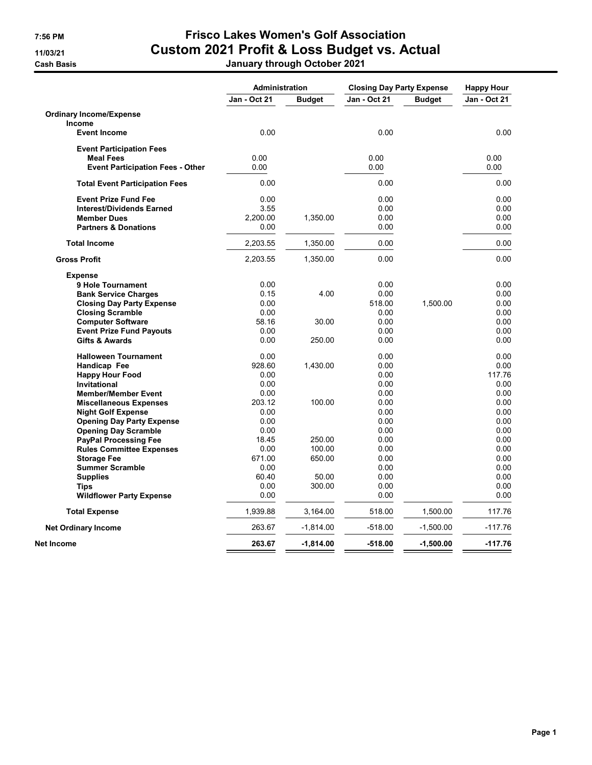## 7:56 PM Frisco Lakes Women's Golf Association 11/03/21 Custom 2021 Profit & Loss Budget vs. Actual Cash Basis **Cash Basis** Cash Basis **January through October 2021**

|                                         | <b>Administration</b> |               | <b>Closing Day Party Expense</b> |               | <b>Happy Hour</b> |  |
|-----------------------------------------|-----------------------|---------------|----------------------------------|---------------|-------------------|--|
|                                         | <b>Jan - Oct 21</b>   | <b>Budget</b> | Jan - Oct 21                     | <b>Budget</b> | Jan - Oct 21      |  |
| <b>Ordinary Income/Expense</b>          |                       |               |                                  |               |                   |  |
| Income                                  |                       |               |                                  |               |                   |  |
| <b>Event Income</b>                     | 0.00                  |               | 0.00                             |               | 0.00              |  |
| <b>Event Participation Fees</b>         |                       |               |                                  |               |                   |  |
| <b>Meal Fees</b>                        | 0.00                  |               | 0.00                             |               | 0.00              |  |
| <b>Event Participation Fees - Other</b> | 0.00                  |               | 0.00                             |               | 0.00              |  |
| <b>Total Event Participation Fees</b>   | 0.00                  |               | 0.00                             |               | 0.00              |  |
| <b>Event Prize Fund Fee</b>             | 0.00                  |               | 0.00                             |               | 0.00              |  |
| <b>Interest/Dividends Earned</b>        | 3.55                  |               | 0.00                             |               | 0.00              |  |
| <b>Member Dues</b>                      | 2,200.00              | 1,350.00      | 0.00                             |               | 0.00              |  |
| <b>Partners &amp; Donations</b>         | 0.00                  |               | 0.00                             |               | 0.00              |  |
| <b>Total Income</b>                     | 2,203.55              | 1,350.00      | 0.00                             |               | 0.00              |  |
| <b>Gross Profit</b>                     | 2,203.55              | 1,350.00      | 0.00                             |               | 0.00              |  |
| <b>Expense</b>                          |                       |               |                                  |               |                   |  |
| 9 Hole Tournament                       | 0.00                  |               | 0.00                             |               | 0.00              |  |
| <b>Bank Service Charges</b>             | 0.15                  | 4.00          | 0.00                             |               | 0.00              |  |
| <b>Closing Day Party Expense</b>        | 0.00                  |               | 518.00                           | 1,500.00      | 0.00              |  |
| <b>Closing Scramble</b>                 | 0.00                  |               | 0.00                             |               | 0.00              |  |
| <b>Computer Software</b>                | 58.16                 | 30.00         | 0.00                             |               | 0.00              |  |
| <b>Event Prize Fund Payouts</b>         | 0.00                  |               | 0.00                             |               | 0.00              |  |
| <b>Gifts &amp; Awards</b>               | 0.00                  | 250.00        | 0.00                             |               | 0.00              |  |
| <b>Halloween Tournament</b>             | 0.00                  |               | 0.00                             |               | 0.00              |  |
| Handicap Fee                            | 928.60                | 1,430.00      | 0.00                             |               | 0.00              |  |
| <b>Happy Hour Food</b>                  | 0.00                  |               | 0.00                             |               | 117.76            |  |
| <b>Invitational</b>                     | 0.00                  |               | 0.00                             |               | 0.00              |  |
| <b>Member/Member Event</b>              | 0.00                  |               | 0.00                             |               | 0.00              |  |
| <b>Miscellaneous Expenses</b>           | 203.12                | 100.00        | 0.00                             |               | 0.00              |  |
| <b>Night Golf Expense</b>               | 0.00                  |               | 0.00                             |               | 0.00              |  |
| <b>Opening Day Party Expense</b>        | 0.00                  |               | 0.00                             |               | 0.00              |  |
| <b>Opening Day Scramble</b>             | 0.00                  |               | 0.00                             |               | 0.00              |  |
| <b>PayPal Processing Fee</b>            | 18.45                 | 250.00        | 0.00                             |               | 0.00              |  |
| <b>Rules Committee Expenses</b>         | 0.00                  | 100.00        | 0.00                             |               | 0.00              |  |
| <b>Storage Fee</b>                      | 671.00                | 650.00        | 0.00                             |               | 0.00              |  |
| <b>Summer Scramble</b>                  | 0.00                  |               | 0.00                             |               | 0.00              |  |
| <b>Supplies</b>                         | 60.40                 | 50.00         | 0.00                             |               | 0.00              |  |
| <b>Tips</b>                             | 0.00                  | 300.00        | 0.00                             |               | 0.00              |  |
| <b>Wildflower Party Expense</b>         | 0.00                  |               | 0.00                             |               | 0.00              |  |
| <b>Total Expense</b>                    | 1,939.88              | 3,164.00      | 518.00                           | 1,500.00      | 117.76            |  |
| <b>Net Ordinary Income</b>              | 263.67                | $-1,814.00$   | $-518.00$                        | $-1,500.00$   | $-117.76$         |  |
| Net Income                              | 263.67                | $-1,814.00$   | $-518.00$                        | $-1,500.00$   | $-117.76$         |  |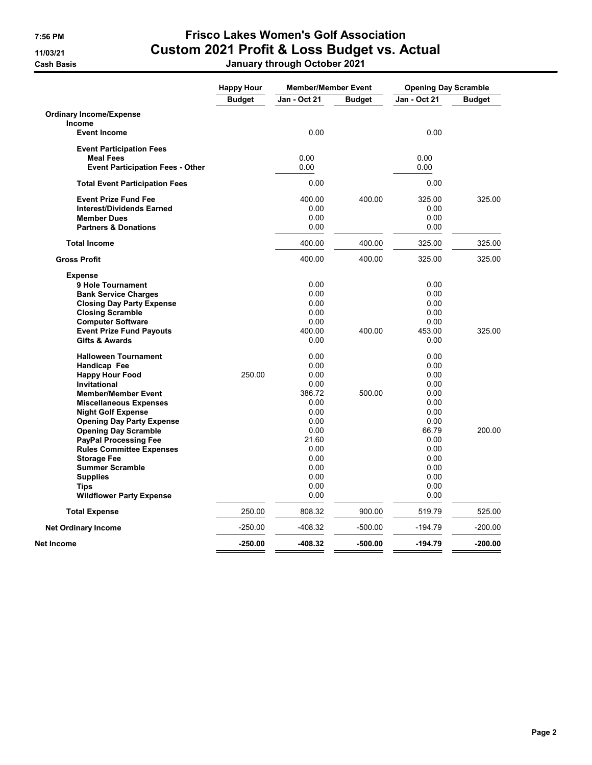## 7:56 PM Frisco Lakes Women's Golf Association 11/03/21 Custom 2021 Profit & Loss Budget vs. Actual Cash Basis January through October 2021

|                                         | <b>Happy Hour</b> | <b>Member/Member Event</b> |               | <b>Opening Day Scramble</b> |               |
|-----------------------------------------|-------------------|----------------------------|---------------|-----------------------------|---------------|
|                                         | <b>Budget</b>     | <b>Jan - Oct 21</b>        | <b>Budget</b> | <b>Jan - Oct 21</b>         | <b>Budget</b> |
| <b>Ordinary Income/Expense</b>          |                   |                            |               |                             |               |
| <b>Income</b>                           |                   |                            |               |                             |               |
| <b>Event Income</b>                     |                   | 0.00                       |               | 0.00                        |               |
| <b>Event Participation Fees</b>         |                   |                            |               |                             |               |
| <b>Meal Fees</b>                        |                   | 0.00                       |               | 0.00                        |               |
| <b>Event Participation Fees - Other</b> |                   | 0.00                       |               | 0.00                        |               |
| <b>Total Event Participation Fees</b>   |                   | 0.00                       |               | 0.00                        |               |
| <b>Event Prize Fund Fee</b>             |                   | 400.00                     | 400.00        | 325.00                      | 325.00        |
| <b>Interest/Dividends Earned</b>        |                   | 0.00                       |               | 0.00                        |               |
| <b>Member Dues</b>                      |                   | 0.00                       |               | 0.00                        |               |
| <b>Partners &amp; Donations</b>         |                   | 0.00                       |               | 0.00                        |               |
| <b>Total Income</b>                     |                   | 400.00                     | 400.00        | 325.00                      | 325.00        |
| <b>Gross Profit</b>                     |                   | 400.00                     | 400.00        | 325.00                      | 325.00        |
| <b>Expense</b>                          |                   |                            |               |                             |               |
| 9 Hole Tournament                       |                   | 0.00                       |               | 0.00                        |               |
| <b>Bank Service Charges</b>             |                   | 0.00                       |               | 0.00                        |               |
| <b>Closing Day Party Expense</b>        |                   | 0.00                       |               | 0.00                        |               |
| <b>Closing Scramble</b>                 |                   | 0.00                       |               | 0.00                        |               |
| <b>Computer Software</b>                |                   | 0.00                       |               | 0.00                        |               |
| <b>Event Prize Fund Payouts</b>         |                   | 400.00                     | 400.00        | 453.00                      | 325.00        |
| <b>Gifts &amp; Awards</b>               |                   | 0.00                       |               | 0.00                        |               |
| <b>Halloween Tournament</b>             |                   | 0.00                       |               | 0.00                        |               |
| Handicap Fee                            |                   | 0.00                       |               | 0.00                        |               |
| <b>Happy Hour Food</b>                  | 250.00            | 0.00                       |               | 0.00                        |               |
| <b>Invitational</b>                     |                   | 0.00                       |               | 0.00                        |               |
| <b>Member/Member Event</b>              |                   | 386.72                     | 500.00        | 0.00                        |               |
| <b>Miscellaneous Expenses</b>           |                   | 0.00                       |               | 0.00                        |               |
| <b>Night Golf Expense</b>               |                   | 0.00                       |               | 0.00                        |               |
| <b>Opening Day Party Expense</b>        |                   | 0.00                       |               | 0.00                        |               |
| <b>Opening Day Scramble</b>             |                   | 0.00                       |               | 66.79                       | 200.00        |
| <b>PayPal Processing Fee</b>            |                   | 21.60                      |               | 0.00                        |               |
| <b>Rules Committee Expenses</b>         |                   | 0.00                       |               | 0.00                        |               |
| <b>Storage Fee</b>                      |                   | 0.00                       |               | 0.00                        |               |
| <b>Summer Scramble</b>                  |                   | 0.00                       |               | 0.00                        |               |
| <b>Supplies</b>                         |                   | 0.00                       |               | 0.00                        |               |
| <b>Tips</b>                             |                   | 0.00                       |               | 0.00                        |               |
| <b>Wildflower Party Expense</b>         |                   | 0.00                       |               | 0.00                        |               |
| <b>Total Expense</b>                    | 250.00            | 808.32                     | 900.00        | 519.79                      | 525.00        |
| <b>Net Ordinary Income</b>              | $-250.00$         | $-408.32$                  | $-500.00$     | -194.79                     | $-200.00$     |
| Net Income                              | $-250.00$         | $-408.32$                  | $-500.00$     | $-194.79$                   | $-200.00$     |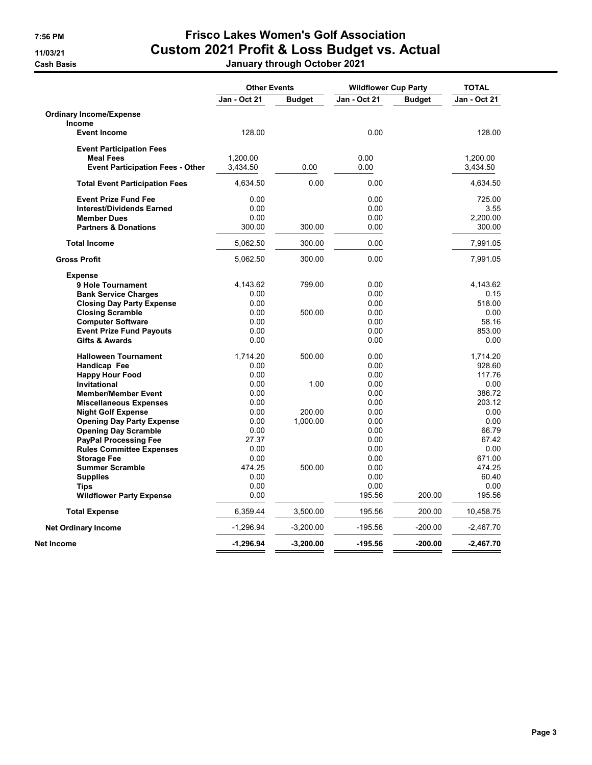## 7:56 PM Frisco Lakes Women's Golf Association 11/03/21 Custom 2021 Profit & Loss Budget vs. Actual Cash Basis January through October 2021

|                                         | <b>Other Events</b> |               | <b>Wildflower Cup Party</b> |               | <b>TOTAL</b> |  |
|-----------------------------------------|---------------------|---------------|-----------------------------|---------------|--------------|--|
|                                         | <b>Jan - Oct 21</b> | <b>Budget</b> | Jan - Oct 21                | <b>Budget</b> | Jan - Oct 21 |  |
| <b>Ordinary Income/Expense</b>          |                     |               |                             |               |              |  |
| Income                                  |                     |               |                             |               |              |  |
| <b>Event Income</b>                     | 128.00              |               | 0.00                        |               | 128.00       |  |
| <b>Event Participation Fees</b>         |                     |               |                             |               |              |  |
| <b>Meal Fees</b>                        | 1,200.00            |               | 0.00                        |               | 1,200.00     |  |
| <b>Event Participation Fees - Other</b> | 3,434.50            | 0.00          | 0.00                        |               | 3,434.50     |  |
| <b>Total Event Participation Fees</b>   | 4,634.50            | 0.00          | 0.00                        |               | 4,634.50     |  |
| <b>Event Prize Fund Fee</b>             | 0.00                |               | 0.00                        |               | 725.00       |  |
| <b>Interest/Dividends Earned</b>        | 0.00                |               | 0.00                        |               | 3.55         |  |
| <b>Member Dues</b>                      | 0.00                |               | 0.00                        |               | 2,200.00     |  |
| <b>Partners &amp; Donations</b>         | 300.00              | 300.00        | 0.00                        |               | 300.00       |  |
| <b>Total Income</b>                     | 5,062.50            | 300.00        | 0.00                        |               | 7,991.05     |  |
| <b>Gross Profit</b>                     | 5,062.50            | 300.00        | 0.00                        |               | 7,991.05     |  |
| <b>Expense</b>                          |                     |               |                             |               |              |  |
| 9 Hole Tournament                       | 4,143.62            | 799.00        | 0.00                        |               | 4,143.62     |  |
| <b>Bank Service Charges</b>             | 0.00                |               | 0.00                        |               | 0.15         |  |
| <b>Closing Day Party Expense</b>        | 0.00                |               | 0.00                        |               | 518.00       |  |
| <b>Closing Scramble</b>                 | 0.00                | 500.00        | 0.00                        |               | 0.00         |  |
| <b>Computer Software</b>                | 0.00                |               | 0.00                        |               | 58.16        |  |
| <b>Event Prize Fund Payouts</b>         | 0.00                |               | 0.00                        |               | 853.00       |  |
| <b>Gifts &amp; Awards</b>               | 0.00                |               | 0.00                        |               | 0.00         |  |
| <b>Halloween Tournament</b>             | 1,714.20            | 500.00        | 0.00                        |               | 1,714.20     |  |
| Handicap Fee                            | 0.00                |               | 0.00                        |               | 928.60       |  |
| <b>Happy Hour Food</b>                  | 0.00                |               | 0.00                        |               | 117.76       |  |
| <b>Invitational</b>                     | 0.00                | 1.00          | 0.00                        |               | 0.00         |  |
| <b>Member/Member Event</b>              | 0.00                |               | 0.00                        |               | 386.72       |  |
| <b>Miscellaneous Expenses</b>           | 0.00                |               | 0.00                        |               | 203.12       |  |
| <b>Night Golf Expense</b>               | 0.00                | 200.00        | 0.00                        |               | 0.00         |  |
| <b>Opening Day Party Expense</b>        | 0.00                | 1,000.00      | 0.00                        |               | 0.00         |  |
| <b>Opening Day Scramble</b>             | 0.00                |               | 0.00                        |               | 66.79        |  |
| <b>PayPal Processing Fee</b>            | 27.37               |               | 0.00                        |               | 67.42        |  |
| <b>Rules Committee Expenses</b>         | 0.00                |               | 0.00                        |               | 0.00         |  |
| <b>Storage Fee</b>                      | 0.00                |               | 0.00                        |               | 671.00       |  |
| <b>Summer Scramble</b>                  | 474.25              | 500.00        | 0.00                        |               | 474.25       |  |
| <b>Supplies</b>                         | 0.00                |               | 0.00                        |               | 60.40        |  |
| <b>Tips</b>                             | 0.00                |               | 0.00                        |               | 0.00         |  |
| <b>Wildflower Party Expense</b>         | 0.00                |               | 195.56                      | 200.00        | 195.56       |  |
| <b>Total Expense</b>                    | 6,359.44            | 3,500.00      | 195.56                      | 200.00        | 10,458.75    |  |
| <b>Net Ordinary Income</b>              | -1,296.94           | $-3,200.00$   | -195.56                     | $-200.00$     | -2,467.70    |  |
| Net Income                              | $-1.296.94$         | $-3,200.00$   | $-195.56$                   | $-200.00$     | $-2.467.70$  |  |